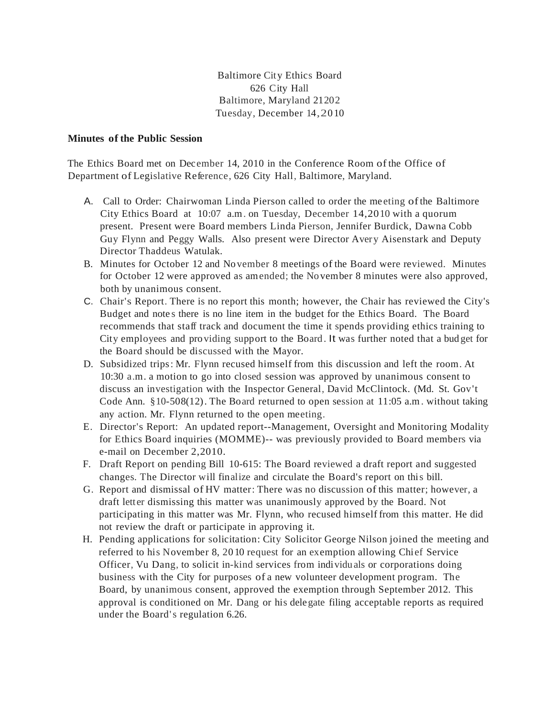Baltimore City Ethics Board 626 City Hall Baltimore, Maryland 21202 Tuesday, December 14,2010

## **Minutes of the Public Session**

The Ethics Board met on December 14, 2010 in the Conference Room ofthe Office of Department of Legislative Reference, 626 City Hall, Baltimore, Maryland.

- A. Call to Order: Chairwoman Linda Pierson called to order the meeting of the Baltimore City Ethics Board at 10:07 a.m. on Tuesday, December 14,2010 with a quorum present. Present were Board members Linda Pierson, Jennifer Burdick, Dawna Cobb Guy Flynn and Peggy Walls. Also present were Director Avery Aisenstark and Deputy Director Thaddeus Watulak.
- B. Minutes for October 12 and November 8 meetings of the Board were reviewed. Minutes for October 12 were approved as amended; the November 8 minutes were also approved, both by unanimous consent.
- C. Chair's Report. There is no report this month; however, the Chair has reviewed the City's Budget and note s there is no line item in the budget for the Ethics Board. The Board recommends that staff track and document the time it spends providing ethics training to City employees and providing support to the Board . It was further noted that a bud get for the Board should be discussed with the Mayor.
- D. Subsidized trips: Mr. Flynn recused himself from this discussion and left the room. At 10:30 a.m. a motion to go into closed session was approved by unanimous consent to discuss an investigation with the Inspector General, David McClintock. (Md. St. Gov't Code Ann. §10-508(12). The Board returned to open session at 11:05 a.m . without taking any action. Mr. Flynn returned to the open meeting.
- E. Director's Report: An updated report--Management, Oversight and Monitoring Modality for Ethics Board inquiries (MOMME)-- was previously provided to Board members via e-mail on December 2,2010.
- F. Draft Report on pending Bill 10-615: The Board reviewed a draft report and suggested changes. The Director will finalize and circulate the Board's report on this bill.
- G. Report and dismissal of HV matter: There was no discussion of this matter; however, a draft letter dismissing this matter was unanimously approved by the Board. Not participating in this matter was Mr. Flynn, who recused himself from this matter. He did not review the draft or participate in approving it.
- H. Pending applications for solicitation: City Solicitor George Nilson joined the meeting and referred to his November 8, 2010 request for an exemption allowing Chief Service Officer, Vu Dang, to solicit in-kind services from individuals or corporations doing business with the City for purposes of a new volunteer development program. The Board, by unanimous consent, approved the exemption through September 2012. This approval is conditioned on Mr. Dang or his delegate filing acceptable reports as required under the Board's regulation 6.26.